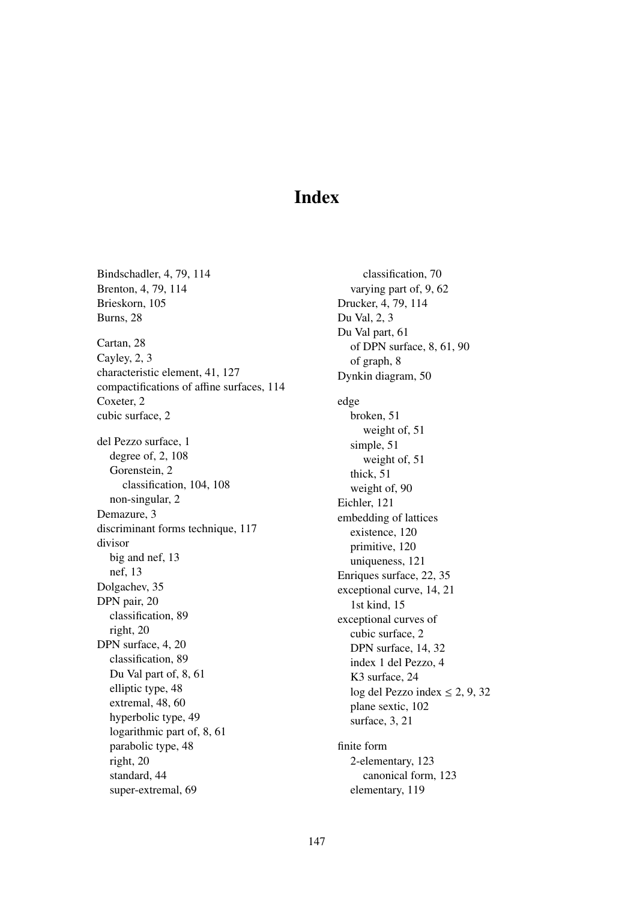## Index

Bindschadler, 4, 79, 114 Brenton, 4, 79, 114 Brieskorn, 105 Burns, 28 Cartan, 28 Cayley, 2, 3 characteristic element, 41, 127 compactifications of affine surfaces, 114 Coxeter, 2 cubic surface, 2 del Pezzo surface, 1 degree of, 2, 108 Gorenstein, 2 classification, 104, 108 non-singular, 2 Demazure, 3 discriminant forms technique, 117 divisor big and nef, 13 nef, 13 Dolgachev, 35 DPN pair, 20 classification, 89 right, 20 DPN surface, 4, 20 classification, 89 Du Val part of, 8, 61 elliptic type, 48 extremal, 48, 60 hyperbolic type, 49 logarithmic part of, 8, 61 parabolic type, 48 right, 20 standard, 44 super-extremal, 69

classification, 70 varying part of, 9, 62 Drucker, 4, 79, 114 Du Val, 2, 3 Du Val part, 61 of DPN surface, 8, 61, 90 of graph, 8 Dynkin diagram, 50 edge broken, 51 weight of, 51 simple, 51 weight of, 51 thick, 51 weight of, 90 Eichler, 121 embedding of lattices existence, 120 primitive, 120 uniqueness, 121 Enriques surface, 22, 35 exceptional curve, 14, 21 1st kind, 15 exceptional curves of cubic surface, 2 DPN surface, 14, 32 index 1 del Pezzo, 4 K3 surface, 24 log del Pezzo index  $\leq 2, 9, 32$ plane sextic, 102 surface, 3, 21 finite form

2-elementary, 123 canonical form, 123 elementary, 119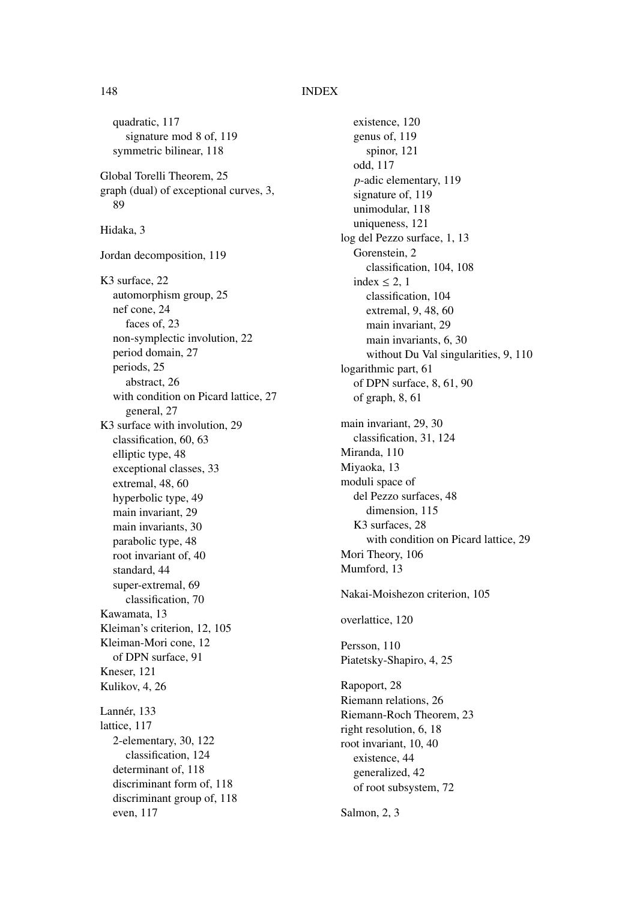## 148 INDEX

quadratic, 117 signature mod 8 of, 119 symmetric bilinear, 118 Global Torelli Theorem, 25 graph (dual) of exceptional curves, 3, 89 Hidaka, 3 Jordan decomposition, 119 K3 surface, 22 automorphism group, 25 nef cone, 24 faces of, 23 non-symplectic involution, 22 period domain, 27 periods, 25 abstract, 26 with condition on Picard lattice, 27 general, 27 K3 surface with involution, 29 classification, 60, 63 elliptic type, 48 exceptional classes, 33 extremal, 48, 60 hyperbolic type, 49 main invariant, 29 main invariants, 30 parabolic type, 48 root invariant of, 40 standard, 44 super-extremal, 69 classification, 70 Kawamata, 13 Kleiman's criterion, 12, 105 Kleiman-Mori cone, 12 of DPN surface, 91 Kneser, 121 Kulikov, 4, 26 Lannér, 133 lattice, 117 2-elementary, 30, 122 classification, 124 determinant of, 118 discriminant form of, 118 discriminant group of, 118 even, 117

existence, 120 genus of, 119 spinor, 121 odd, 117 *p*-adic elementary, 119 signature of, 119 unimodular, 118 uniqueness, 121 log del Pezzo surface, 1, 13 Gorenstein, 2 classification, 104, 108 index  $\leq$  2, 1 classification, 104 extremal, 9, 48, 60 main invariant, 29 main invariants, 6, 30 without Du Val singularities, 9, 110 logarithmic part, 61 of DPN surface, 8, 61, 90 of graph, 8, 61 main invariant, 29, 30 classification, 31, 124 Miranda, 110 Miyaoka, 13 moduli space of del Pezzo surfaces, 48 dimension, 115 K3 surfaces, 28 with condition on Picard lattice, 29 Mori Theory, 106 Mumford, 13 Nakai-Moishezon criterion, 105 overlattice, 120 Persson, 110 Piatetsky-Shapiro, 4, 25 Rapoport, 28 Riemann relations, 26 Riemann-Roch Theorem, 23 right resolution, 6, 18 root invariant, 10, 40 existence, 44 generalized, 42 of root subsystem, 72

Salmon, 2, 3